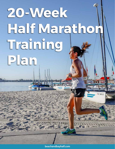# **20-Week Half Marathon Training Plan**

**beachandbayhalf.com**

CF 3466 LF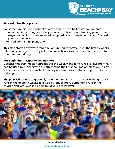

# **About the Program**

For some runners, the prospect of preparing to run a half marathon in three months is a bit daunting, so we've prepared this five-month training plan to offer a more gradual buildup to race day — both physical and mental — than our 12-week beginner and 16-week intermediate training plans offer.

This plan starts slowly with four days of running each week over the first six weeks, later transitioning to five days of running each week as the calendar proceeds further into the training.

## **For Beginning & Experienced Runners**

Because this training plan spreads out the weekly and long runs over five months, it can be used by runners who are attempting their first half marathon as well as by someone who's run several halfs already and wants a structured approach to their training.

The plan is designed to gradually ease the runner into the process with light, easy runs in the opening weeks, followed by longer, more demanding runs in the middle and later weeks, to help build your fitness level.



Source: HalfMarathons.net **beachandbayhalf.com**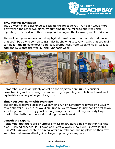

#### **Slow Mileage Escalation**

The 20-week plan is designed to escalate the mileage you'll run each week more slowly than the other two plans, by bumping up the mileage one week and repeating it the next, and then bumping it up again the following week, and so on.

This will help you develop both the physical stamina and the mental confidence that you'll be able to complete 13.1 miles by showing you, very slowly, that you really can do it — the mileage doesn't increase dramatically from week to week, we just add one mile onto the weekly long runs each week.



Remember also to get plenty of rest on the days you don't run, or consider cross-training such as strength exercises, to give your legs ample time to rest and replenish, especially after your long runs.

## **Time Your Long Runs With Your Race**

The schedule above places the weekly long run on Saturday, followed by a usually much shorter quick run (or walk) on Sunday. We've always found that it's best to do your long runs on the day you'll actually run your race, to allow your body to get used to the rhythm of the short run/long run each week.

### **Consult the Experts**

Remember that there are a number of ways to structure a half marathon training plan. Running coaches Hal Higdon and Jeff Galloway, who is well-known for his Run-Walk-Run approach to training, offer a number of training plans on their own websites that are excellent guides to getting ready for any race.

Source: HalfMarathons.net

### **beachandbayhalf.com**